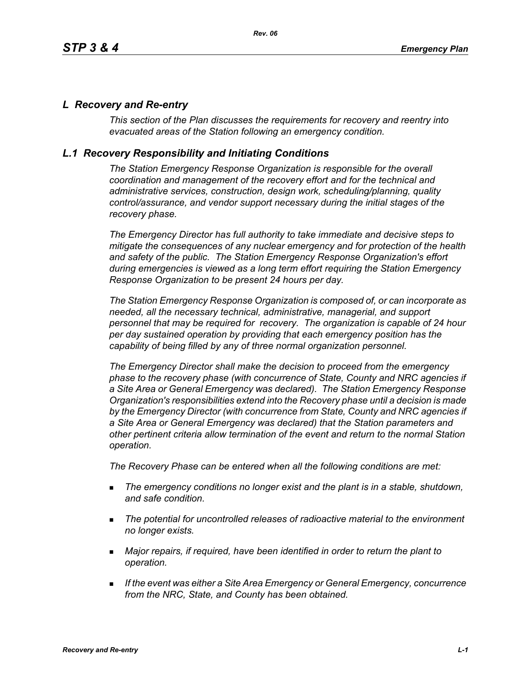## *L Recovery and Re-entry*

*This section of the Plan discusses the requirements for recovery and reentry into evacuated areas of the Station following an emergency condition.* 

## *L.1 Recovery Responsibility and Initiating Conditions*

*The Station Emergency Response Organization is responsible for the overall coordination and management of the recovery effort and for the technical and administrative services, construction, design work, scheduling/planning, quality control/assurance, and vendor support necessary during the initial stages of the recovery phase.*

*The Emergency Director has full authority to take immediate and decisive steps to mitigate the consequences of any nuclear emergency and for protection of the health and safety of the public. The Station Emergency Response Organization's effort during emergencies is viewed as a long term effort requiring the Station Emergency Response Organization to be present 24 hours per day.*

*The Station Emergency Response Organization is composed of, or can incorporate as needed, all the necessary technical, administrative, managerial, and support personnel that may be required for recovery. The organization is capable of 24 hour per day sustained operation by providing that each emergency position has the capability of being filled by any of three normal organization personnel.*

*The Emergency Director shall make the decision to proceed from the emergency phase to the recovery phase (with concurrence of State, County and NRC agencies if a Site Area or General Emergency was declared). The Station Emergency Response Organization's responsibilities extend into the Recovery phase until a decision is made by the Emergency Director (with concurrence from State, County and NRC agencies if a Site Area or General Emergency was declared) that the Station parameters and other pertinent criteria allow termination of the event and return to the normal Station operation.*

*The Recovery Phase can be entered when all the following conditions are met:*

- *The emergency conditions no longer exist and the plant is in a stable, shutdown, and safe condition.*
- *The potential for uncontrolled releases of radioactive material to the environment no longer exists.*
- *Major repairs, if required, have been identified in order to return the plant to operation.*
- *If the event was either a Site Area Emergency or General Emergency, concurrence from the NRC, State, and County has been obtained.*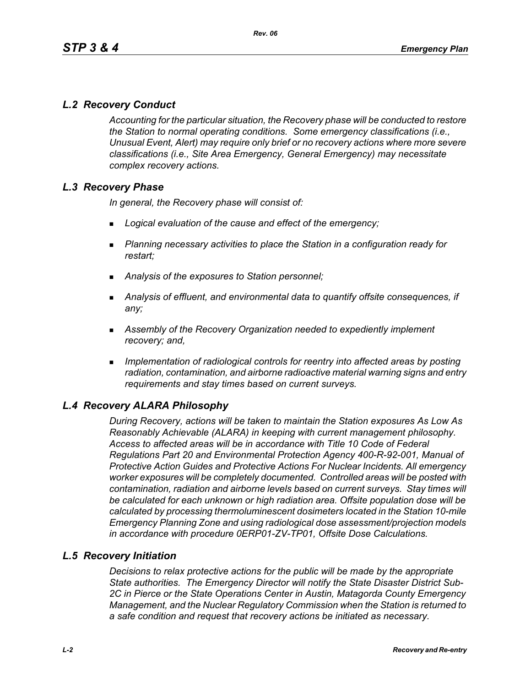# *L.2 Recovery Conduct*

*Accounting for the particular situation, the Recovery phase will be conducted to restore the Station to normal operating conditions. Some emergency classifications (i.e., Unusual Event, Alert) may require only brief or no recovery actions where more severe classifications (i.e., Site Area Emergency, General Emergency) may necessitate complex recovery actions.*

# *L.3 Recovery Phase*

*In general, the Recovery phase will consist of:*

- *Logical evaluation of the cause and effect of the emergency;*
- *Planning necessary activities to place the Station in a configuration ready for restart;*
- *Analysis of the exposures to Station personnel;*
- *Analysis of effluent, and environmental data to quantify offsite consequences, if any;*
- *Assembly of the Recovery Organization needed to expediently implement recovery; and,*
- *Implementation of radiological controls for reentry into affected areas by posting radiation, contamination, and airborne radioactive material warning signs and entry requirements and stay times based on current surveys.*

# *L.4 Recovery ALARA Philosophy*

*During Recovery, actions will be taken to maintain the Station exposures As Low As Reasonably Achievable (ALARA) in keeping with current management philosophy. Access to affected areas will be in accordance with Title 10 Code of Federal Regulations Part 20 and Environmental Protection Agency 400-R-92-001, Manual of Protective Action Guides and Protective Actions For Nuclear Incidents. All emergency worker exposures will be completely documented. Controlled areas will be posted with contamination, radiation and airborne levels based on current surveys. Stay times will be calculated for each unknown or high radiation area. Offsite population dose will be calculated by processing thermoluminescent dosimeters located in the Station 10-mile Emergency Planning Zone and using radiological dose assessment/projection models in accordance with procedure 0ERP01-ZV-TP01, Offsite Dose Calculations.*

### *L.5 Recovery Initiation*

*Decisions to relax protective actions for the public will be made by the appropriate State authorities. The Emergency Director will notify the State Disaster District Sub-2C in Pierce or the State Operations Center in Austin, Matagorda County Emergency Management, and the Nuclear Regulatory Commission when the Station is returned to a safe condition and request that recovery actions be initiated as necessary.*